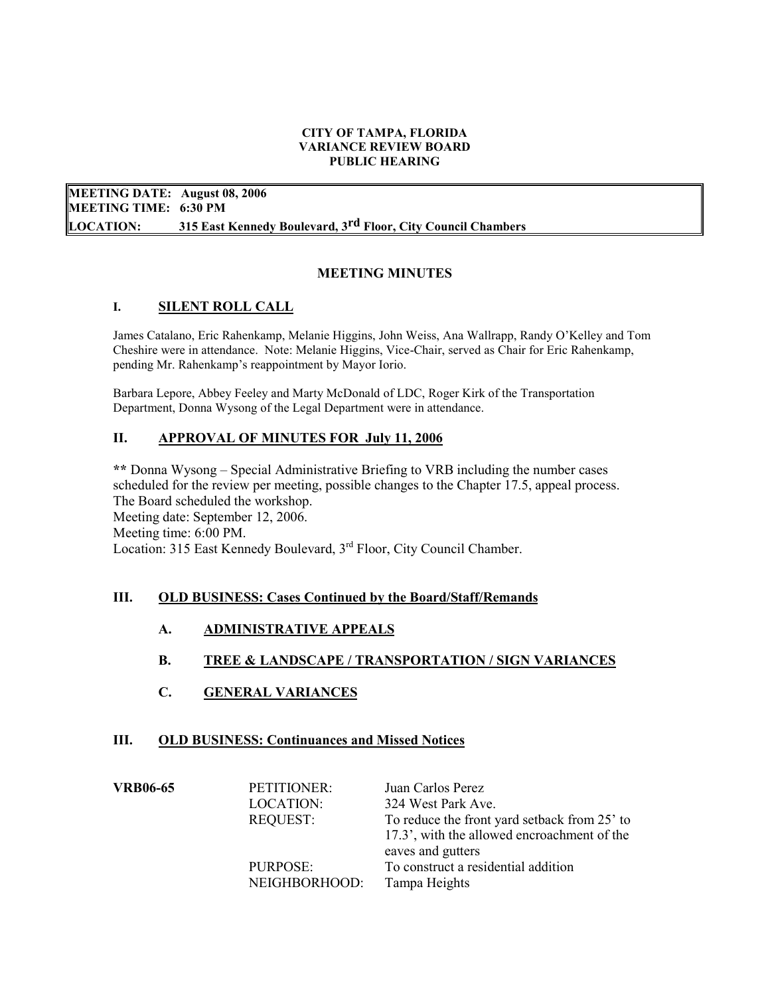#### CITY OF TAMPA, FLORIDA VARIANCE REVIEW BOARD PUBLIC HEARING

 MEETING DATE: August 08, 2006 MEETING TIME: 6:30 PM **LOCATION:** 315 East Kennedy Boulevard, 3<sup>rd</sup> Floor, City Council Chambers

# MEETING MINUTES

## I. SILENT ROLL CALL

James Catalano, Eric Rahenkamp, Melanie Higgins, John Weiss, Ana Wallrapp, Randy O'Kelley and Tom Cheshire were in attendance. Note: Melanie Higgins, Vice-Chair, served as Chair for Eric Rahenkamp, pending Mr. Rahenkamp's reappointment by Mayor Iorio.

Barbara Lepore, Abbey Feeley and Marty McDonald of LDC, Roger Kirk of the Transportation Department, Donna Wysong of the Legal Department were in attendance.

## II. APPROVAL OF MINUTES FOR July 11, 2006

 \*\* Donna Wysong – Special Administrative Briefing to VRB including the number cases scheduled for the review per meeting, possible changes to the Chapter 17.5, appeal process. The Board scheduled the workshop. Meeting date: September 12, 2006. Meeting time: 6:00 PM. Location: 315 East Kennedy Boulevard, 3<sup>rd</sup> Floor, City Council Chamber.

## III. OLD BUSINESS: Cases Continued by the Board/Staff/Remands

- A. ADMINISTRATIVE APPEALS
- B. TREE & LANDSCAPE / TRANSPORTATION / SIGN VARIANCES
- C. GENERAL VARIANCES

## III. OLD BUSINESS: Continuances and Missed Notices

| <b>VRB06-65</b> | PETITIONER:<br><b>LOCATION:</b><br><b>REQUEST:</b><br>PURPOSE: | Juan Carlos Perez<br>324 West Park Ave.<br>To reduce the front yard setback from 25' to<br>17.3', with the allowed encroachment of the<br>eaves and gutters<br>To construct a residential addition |
|-----------------|----------------------------------------------------------------|----------------------------------------------------------------------------------------------------------------------------------------------------------------------------------------------------|
|                 | NEIGHBORHOOD:                                                  | Tampa Heights                                                                                                                                                                                      |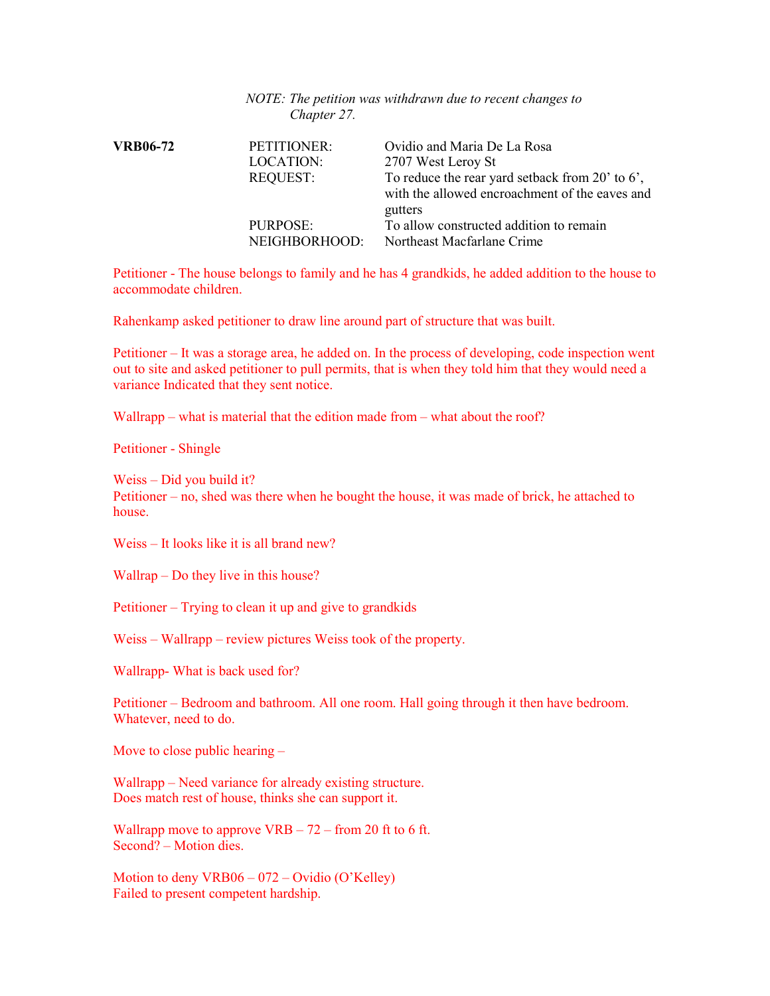#### NOTE: The petition was withdrawn due to recent changes to Chapter 27.

| <b>VRB06-72</b> | PETITIONER:<br><b>LOCATION:</b><br><b>REQUEST:</b> | Ovidio and Maria De La Rosa<br>2707 West Leroy St<br>To reduce the rear yard setback from $20'$ to 6',<br>with the allowed encroachment of the eaves and |
|-----------------|----------------------------------------------------|----------------------------------------------------------------------------------------------------------------------------------------------------------|
|                 | PURPOSE:<br>NEIGHBORHOOD:                          | gutters<br>To allow constructed addition to remain<br>Northeast Macfarlane Crime                                                                         |

 Petitioner - The house belongs to family and he has 4 grandkids, he added addition to the house to accommodate children.

Rahenkamp asked petitioner to draw line around part of structure that was built.

 Petitioner – It was a storage area, he added on. In the process of developing, code inspection went out to site and asked petitioner to pull permits, that is when they told him that they would need a variance Indicated that they sent notice.

Wallrapp – what is material that the edition made from – what about the roof?

Petitioner - Shingle

 Weiss – Did you build it? Petitioner – no, shed was there when he bought the house, it was made of brick, he attached to house.

Weiss – It looks like it is all brand new?

Wallrap – Do they live in this house?

Petitioner – Trying to clean it up and give to grandkids

Weiss – Wallrapp – review pictures Weiss took of the property.

Wallrapp- What is back used for?

 Petitioner – Bedroom and bathroom. All one room. Hall going through it then have bedroom. Whatever, need to do.

Move to close public hearing –

 Wallrapp – Need variance for already existing structure. Does match rest of house, thinks she can support it.

Wallrapp move to approve  $VRB - 72 - from 20$  ft to 6 ft. Second? – Motion dies.

 Motion to deny VRB06 – 072 – Ovidio (O'Kelley) Failed to present competent hardship.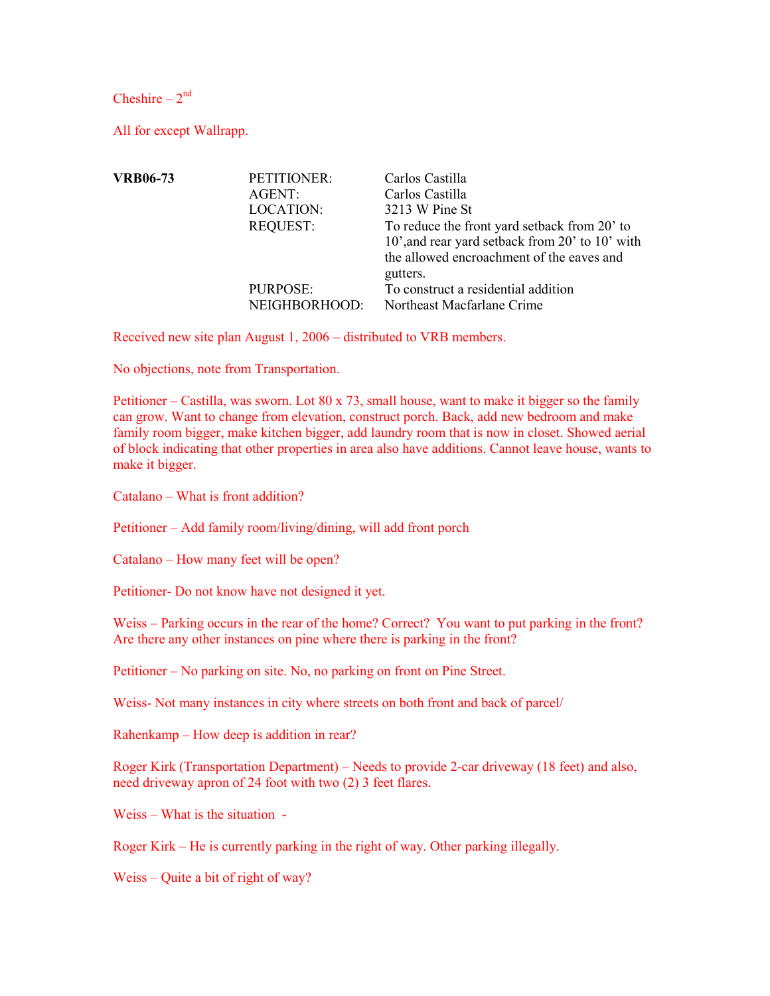Cheshire –  $2<sup>nd</sup>$ 

All for except Wallrapp.

| <b>VRB06-73</b> | PETITIONER:      | Carlos Castilla                                 |
|-----------------|------------------|-------------------------------------------------|
|                 | AGENT:           | Carlos Castilla                                 |
|                 | <b>LOCATION:</b> | 3213 W Pine St                                  |
|                 | <b>REQUEST:</b>  | To reduce the front yard setback from 20' to    |
|                 |                  | 10', and rear yard setback from 20' to 10' with |
|                 |                  | the allowed encroachment of the eaves and       |
|                 |                  | gutters.                                        |
|                 | PURPOSE:         | To construct a residential addition             |
|                 | NEIGHBORHOOD:    | Northeast Macfarlane Crime                      |

Received new site plan August 1, 2006 – distributed to VRB members.

No objections, note from Transportation.

Petitioner – Castilla, was sworn. Lot 80 x 73, small house, want to make it bigger so the family can grow. Want to change from elevation, construct porch. Back, add new bedroom and make family room bigger, make kitchen bigger, add laundry room that is now in closet. Showed aerial of block indicating that other properties in area also have additions. Cannot leave house, wants to make it bigger.

Catalano – What is front addition?

Petitioner – Add family room/living/dining, will add front porch

Catalano – How many feet will be open?

Petitioner- Do not know have not designed it yet.

Weiss – Parking occurs in the rear of the home? Correct? You want to put parking in the front? Are there any other instances on pine where there is parking in the front?

Petitioner – No parking on site. No, no parking on front on Pine Street.

Weiss- Not many instances in city where streets on both front and back of parcel/

Rahenkamp – How deep is addition in rear?

 Roger Kirk (Transportation Department) – Needs to provide 2-car driveway (18 feet) and also, need driveway apron of 24 foot with two (2) 3 feet flares.

Weiss – What is the situation -

Roger Kirk – He is currently parking in the right of way. Other parking illegally.

Weiss – Quite a bit of right of way?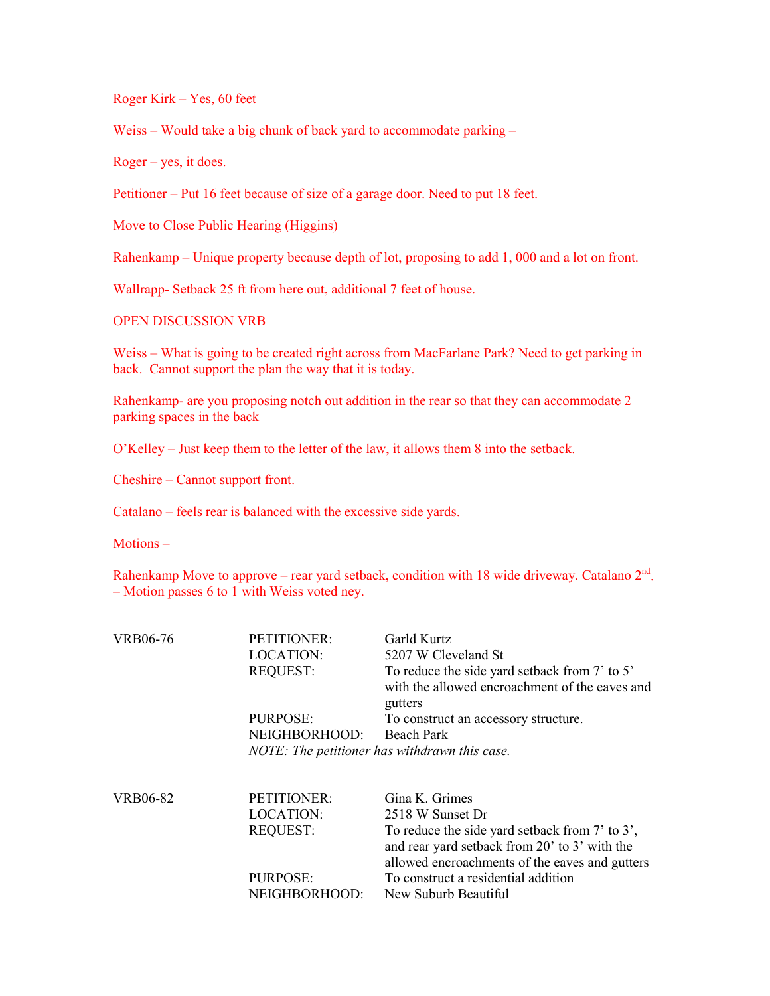Roger Kirk – Yes, 60 feet

Weiss – Would take a big chunk of back yard to accommodate parking –

Roger – yes, it does.

Petitioner – Put 16 feet because of size of a garage door. Need to put 18 feet.

Move to Close Public Hearing (Higgins)

Rahenkamp – Unique property because depth of lot, proposing to add 1, 000 and a lot on front.

Wallrapp- Setback 25 ft from here out, additional 7 feet of house.

OPEN DISCUSSION VRB

 Weiss – What is going to be created right across from MacFarlane Park? Need to get parking in back. Cannot support the plan the way that it is today.

 Rahenkamp- are you proposing notch out addition in the rear so that they can accommodate 2 parking spaces in the back

O'Kelley – Just keep them to the letter of the law, it allows them 8 into the setback.

Cheshire – Cannot support front.

Catalano – feels rear is balanced with the excessive side yards.

Motions –

Rahenkamp Move to approve – rear yard setback, condition with 18 wide driveway. Catalano  $2<sup>nd</sup>$ . – Motion passes 6 to 1 with Weiss voted ney.

| <b>VRB06-76</b> | PETITIONER:      | Garld Kurtz                                                                                                                                       |
|-----------------|------------------|---------------------------------------------------------------------------------------------------------------------------------------------------|
|                 | <b>LOCATION:</b> | 5207 W Cleveland St                                                                                                                               |
|                 | <b>REQUEST:</b>  | To reduce the side yard setback from 7' to 5'<br>with the allowed encroachment of the eaves and<br>gutters                                        |
|                 | PURPOSE:         | To construct an accessory structure.                                                                                                              |
|                 | NEIGHBORHOOD:    | Beach Park                                                                                                                                        |
|                 |                  | NOTE: The petitioner has withdrawn this case.                                                                                                     |
|                 |                  |                                                                                                                                                   |
| <b>VRB06-82</b> | PETITIONER:      | Gina K. Grimes                                                                                                                                    |
|                 | LOCATION:        | 2518 W Sunset Dr                                                                                                                                  |
|                 | <b>REQUEST:</b>  | To reduce the side yard setback from 7' to 3',<br>and rear yard setback from 20' to 3' with the<br>allowed encroachments of the eaves and gutters |
|                 | PURPOSE:         | To construct a residential addition                                                                                                               |
|                 | NEIGHBORHOOD:    | New Suburb Beautiful                                                                                                                              |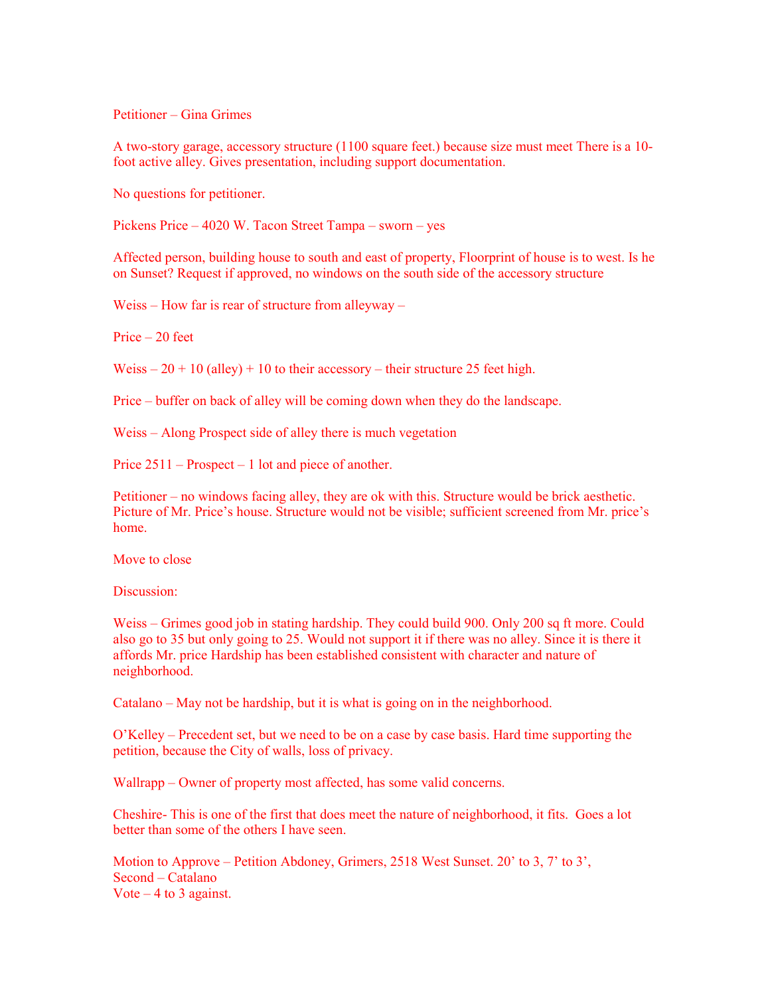Petitioner – Gina Grimes

 A two-story garage, accessory structure (1100 square feet.) because size must meet There is a 10- foot active alley. Gives presentation, including support documentation.

No questions for petitioner.

Pickens Price – 4020 W. Tacon Street Tampa – sworn – yes

 Affected person, building house to south and east of property, Floorprint of house is to west. Is he on Sunset? Request if approved, no windows on the south side of the accessory structure

Weiss – How far is rear of structure from alleyway –

Price – 20 feet

Weiss  $-20 + 10$  (alley) + 10 to their accessory – their structure 25 feet high.

Price – buffer on back of alley will be coming down when they do the landscape.

Weiss – Along Prospect side of alley there is much vegetation

Price 2511 – Prospect – 1 lot and piece of another.

 Petitioner – no windows facing alley, they are ok with this. Structure would be brick aesthetic. Picture of Mr. Price's house. Structure would not be visible; sufficient screened from Mr. price's home.

Move to close

Discussion:

Weiss – Grimes good job in stating hardship. They could build 900. Only 200 sq ft more. Could also go to 35 but only going to 25. Would not support it if there was no alley. Since it is there it affords Mr. price Hardship has been established consistent with character and nature of neighborhood.

Catalano – May not be hardship, but it is what is going on in the neighborhood.

 O'Kelley – Precedent set, but we need to be on a case by case basis. Hard time supporting the petition, because the City of walls, loss of privacy.

Wallrapp – Owner of property most affected, has some valid concerns.

 heshire- This is one of the first that does meet the nature of neighborhood, it fits. Goes a lot better than some of the others I have seen.

 Motion to Approve – Petition Abdoney, Grimers, 2518 West Sunset. 20' to 3, 7' to 3', Second – Catalano Vote  $-4$  to 3 against.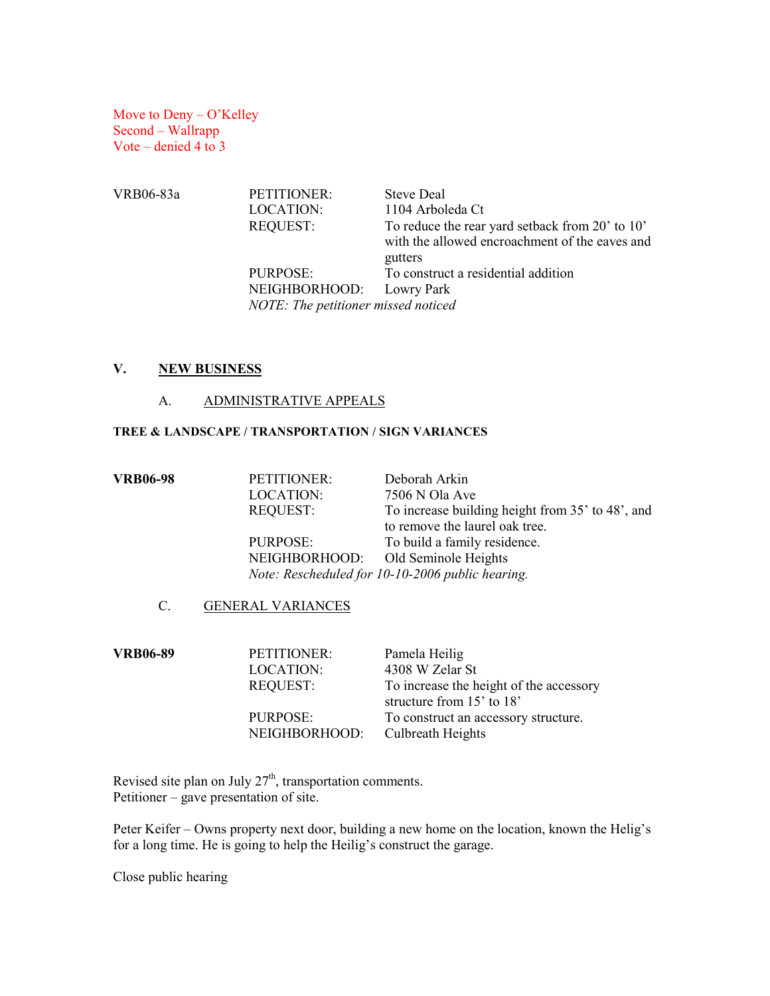Move to Deny – O'Kelley Second – Wallrapp Vote – denied 4 to 3

LOCATION: 1104 Arboleda Ct REQUEST: To reduce the rear yard setback from 20' to 10' with the allowed encroachment of the eaves and PURPOSE: To construct a residential addition NOTE: The petitioner missed noticed VRB06-83a PETITIONER: Steve Deal gutters NEIGHBORHOOD: Lowry Park

## V. NEW BUSINESS

## A. ADMINISTRATIVE APPEALS

### TREE & LANDSCAPE / TRANSPORTATION / SIGN VARIANCES

| <b>VRB06-98</b> | PETITIONER:     | Deborah Arkin                                    |
|-----------------|-----------------|--------------------------------------------------|
|                 | LOCATION:       | 7506 N Ola Ave                                   |
|                 | <b>REQUEST:</b> | To increase building height from 35' to 48', and |
|                 |                 | to remove the laurel oak tree.                   |
|                 | PURPOSE:        | To build a family residence.                     |
|                 |                 | NEIGHBORHOOD: Old Seminole Heights               |
|                 |                 | Note: Rescheduled for 10-10-2006 public hearing. |
|                 |                 |                                                  |

## C. GENERAL VARIANCES

| <b>VRB06-89</b> | PETITIONER:               | Pamela Heilig                                                        |
|-----------------|---------------------------|----------------------------------------------------------------------|
|                 | <b>LOCATION:</b>          | 4308 W Zelar St                                                      |
|                 | <b>REQUEST:</b>           | To increase the height of the accessory<br>structure from 15' to 18' |
|                 | PURPOSE:<br>NEIGHBORHOOD: | To construct an accessory structure.<br>Culbreath Heights            |

Revised site plan on July  $27<sup>th</sup>$ , transportation comments. Petitioner – gave presentation of site.

 Peter Keifer – Owns property next door, building a new home on the location, known the Helig's for a long time. He is going to help the Heilig's construct the garage.

Close public hearing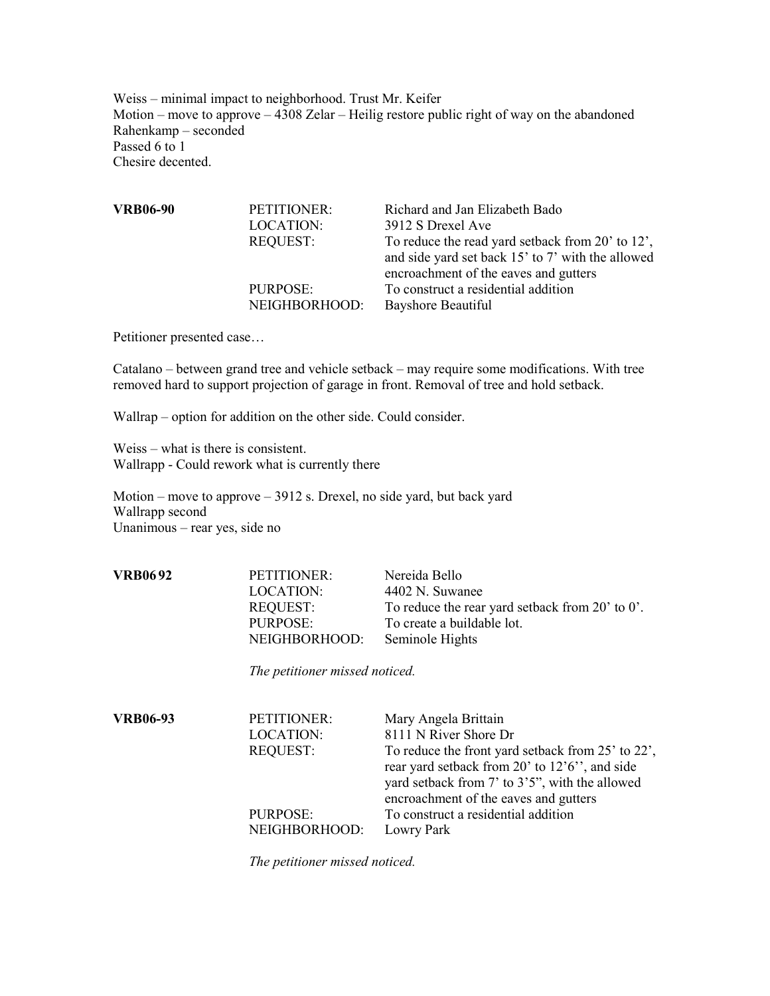Weiss – minimal impact to neighborhood. Trust Mr. Keifer Motion – move to approve – 4308 Zelar – Heilig restore public right of way on the abandoned Rahenkamp – seconded Passed 6 to 1 hesire decented.

| <b>VRB06-90</b> | PETITIONER:      | Richard and Jan Elizabeth Bado                    |
|-----------------|------------------|---------------------------------------------------|
|                 | <b>LOCATION:</b> | 3912 S Drexel Ave                                 |
|                 | <b>REQUEST:</b>  | To reduce the read yard setback from 20' to 12',  |
|                 |                  | and side yard set back 15' to 7' with the allowed |
|                 |                  | encroachment of the eaves and gutters             |
|                 | PURPOSE:         | To construct a residential addition               |
|                 | NEIGHBORHOOD:    | <b>Bayshore Beautiful</b>                         |
|                 |                  |                                                   |

Petitioner presented case…

Catalano – between grand tree and vehicle setback – may require some modifications. With tree removed hard to support projection of garage in front. Removal of tree and hold setback.

Wallrap – option for addition on the other side. Could consider.

 Weiss – what is there is consistent. Wallrapp - Could rework what is currently there

 Motion – move to approve – 3912 s. Drexel, no side yard, but back yard Unanimous – rear yes, side no Wallrapp second

| VRB06 92 | PETITIONER:<br>LOCATION:<br><b>REQUEST:</b><br>PURPOSE:<br>NEIGHBORHOOD: | Nereida Bello<br>4402 N. Suwanee<br>To reduce the rear yard setback from 20' to 0'.<br>To create a buildable lot.<br>Seminole Hights |
|----------|--------------------------------------------------------------------------|--------------------------------------------------------------------------------------------------------------------------------------|
|          |                                                                          |                                                                                                                                      |

The petitioner missed noticed.

 VRB06-93 PETITIONER: Mary Angela Brittain LOCATION: 8111 N River Shore Dr REQUEST: To reduce the front yard setback from 25' to 22', rear yard setback from 20' to 12'6'', and side yard setback from 7' to 3'5", with the allowed encroachment of the eaves and gutters PURPOSE: To construct a residential addition NEIGHBORHOOD: Lowry Park

The petitioner missed noticed.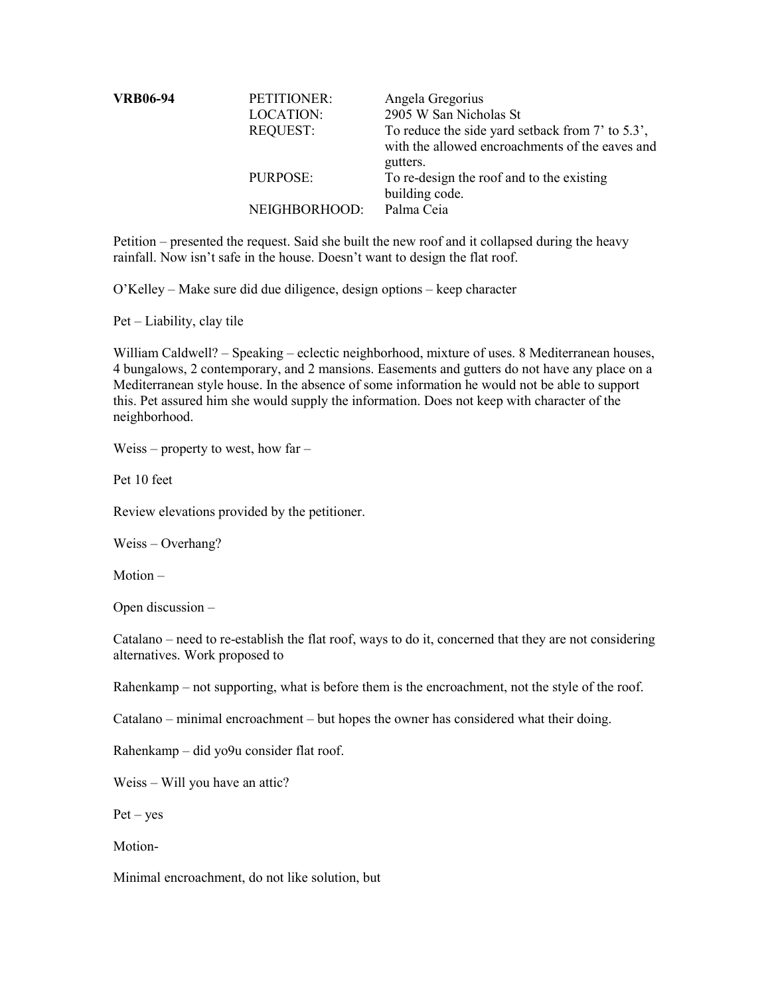| <b>VRB06-94</b> | PETITIONER:<br><b>LOCATION:</b><br><b>REQUEST:</b> | Angela Gregorius<br>2905 W San Nicholas St<br>To reduce the side yard setback from 7' to 5.3',<br>with the allowed encroachments of the eaves and<br>gutters. |
|-----------------|----------------------------------------------------|---------------------------------------------------------------------------------------------------------------------------------------------------------------|
|                 | PURPOSE:                                           | To re-design the roof and to the existing<br>building code.                                                                                                   |
|                 | NEIGHBORHOOD:                                      | Palma Ceia                                                                                                                                                    |

 Petition – presented the request. Said she built the new roof and it collapsed during the heavy rainfall. Now isn't safe in the house. Doesn't want to design the flat roof.

O'Kelley – Make sure did due diligence, design options – keep character

Pet – Liability, clay tile

William Caldwell? – Speaking – eclectic neighborhood, mixture of uses. 8 Mediterranean houses, 4 bungalows, 2 contemporary, and 2 mansions. Easements and gutters do not have any place on a Mediterranean style house. In the absence of some information he would not be able to support this. Pet assured him she would supply the information. Does not keep with character of the neighborhood.

Weiss – property to west, how far –

Pet 10 feet

Review elevations provided by the petitioner.

Weiss – Overhang?

Motion –

Open discussion –

Catalano – need to re-establish the flat roof, ways to do it, concerned that they are not considering alternatives. Work proposed to

Rahenkamp – not supporting, what is before them is the encroachment, not the style of the roof.

Catalano – minimal encroachment – but hopes the owner has considered what their doing.

Rahenkamp – did yo9u consider flat roof.

Weiss – Will you have an attic?

Pet – yes

Motion-

Minimal encroachment, do not like solution, but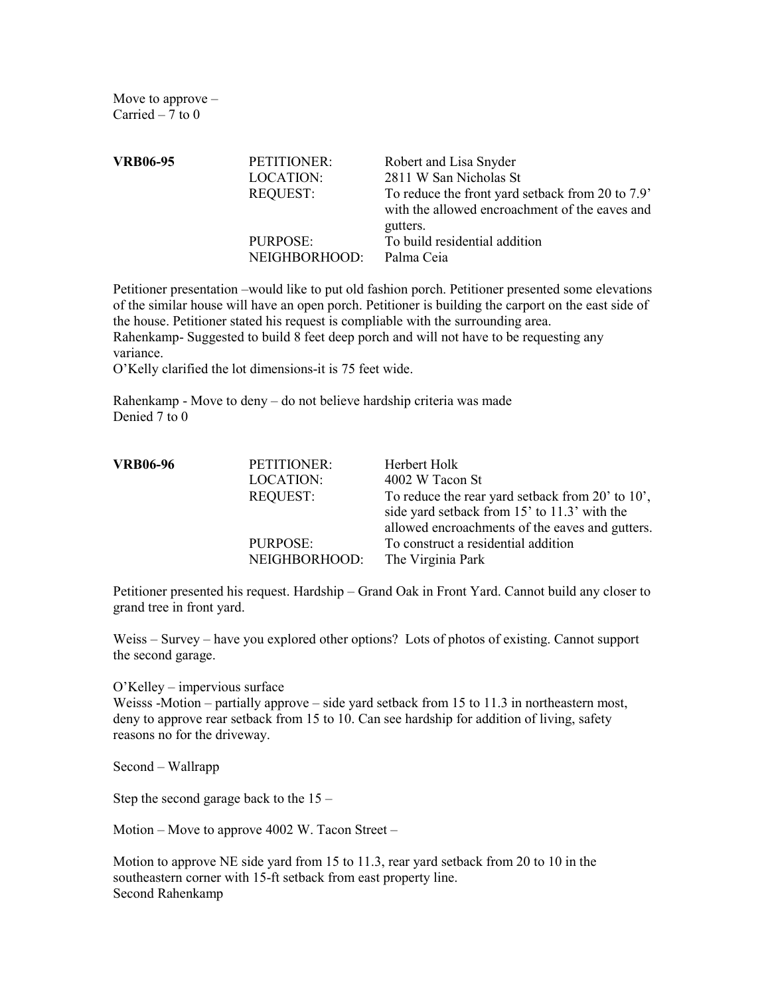Move to approve – Carried  $-7$  to 0

| <b>VRB06-95</b> | PETITIONER:     | Robert and Lisa Snyder                                                                             |
|-----------------|-----------------|----------------------------------------------------------------------------------------------------|
|                 | LOCATION:       | 2811 W San Nicholas St                                                                             |
|                 | <b>REQUEST:</b> | To reduce the front yard setback from 20 to 7.9'<br>with the allowed encroachment of the eaves and |
|                 |                 | gutters.                                                                                           |
|                 | PURPOSE:        | To build residential addition                                                                      |
|                 | NEIGHBORHOOD:   | Palma Ceia                                                                                         |

 Petitioner presentation –would like to put old fashion porch. Petitioner presented some elevations of the similar house will have an open porch. Petitioner is building the carport on the east side of the house. Petitioner stated his request is compliable with the surrounding area. Rahenkamp- Suggested to build 8 feet deep porch and will not have to be requesting any

variance.

O'Kelly clarified the lot dimensions-it is 75 feet wide.

 Rahenkamp - Move to deny – do not believe hardship criteria was made Denied 7 to 0

| <b>VRB06-96</b> | PETITIONER:               | Herbert Holk                                                                                     |
|-----------------|---------------------------|--------------------------------------------------------------------------------------------------|
|                 | LOCATION:                 | 4002 W Tacon St                                                                                  |
|                 | <b>REQUEST:</b>           | To reduce the rear yard setback from 20' to 10'.<br>side yard setback from 15' to 11.3' with the |
|                 |                           | allowed encroachments of the eaves and gutters.                                                  |
|                 | PURPOSE:<br>NEIGHBORHOOD: | To construct a residential addition<br>The Virginia Park                                         |
|                 |                           |                                                                                                  |

Petitioner presented his request. Hardship – Grand Oak in Front Yard. Cannot build any closer to grand tree in front yard.

Weiss – Survey – have you explored other options? Lots of photos of existing. Cannot support the second garage.

O'Kelley – impervious surface

 Weisss -Motion – partially approve – side yard setback from 15 to 11.3 in northeastern most, deny to approve rear setback from 15 to 10. Can see hardship for addition of living, safety reasons no for the driveway.

Second – Wallrapp

Step the second garage back to the 15 –

Motion – Move to approve 4002 W. Tacon Street –

 Motion to approve NE side yard from 15 to 11.3, rear yard setback from 20 to 10 in the southeastern corner with 15-ft setback from east property line. Second Rahenkamp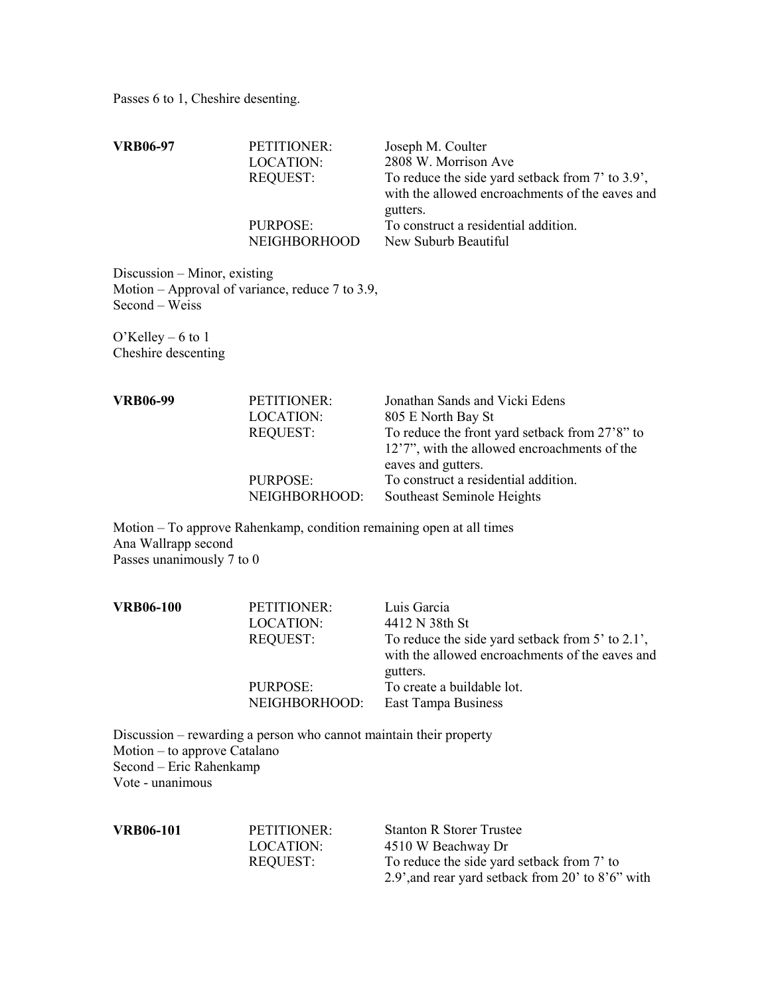Passes 6 to 1, Cheshire desenting.

| <b>VRB06-97</b>                                  | PETITIONER:<br><b>LOCATION:</b><br><b>REQUEST:</b>                   | Joseph M. Coulter<br>2808 W. Morrison Ave<br>To reduce the side yard setback from 7' to 3.9',<br>with the allowed encroachments of the eaves and                                                                     |
|--------------------------------------------------|----------------------------------------------------------------------|----------------------------------------------------------------------------------------------------------------------------------------------------------------------------------------------------------------------|
|                                                  | PURPOSE:<br>NEIGHBORHOOD                                             | gutters.<br>To construct a residential addition.<br>New Suburb Beautiful                                                                                                                                             |
| Discussion – Minor, existing<br>Second - Weiss   | Motion – Approval of variance, reduce $7$ to 3.9,                    |                                                                                                                                                                                                                      |
| O'Kelley $-6$ to 1<br>Cheshire descenting        |                                                                      |                                                                                                                                                                                                                      |
| <b>VRB06-99</b>                                  | PETITIONER:<br>LOCATION:<br><b>REQUEST:</b><br>PURPOSE:              | Jonathan Sands and Vicki Edens<br>805 E North Bay St<br>To reduce the front yard setback from 27'8" to<br>12'7", with the allowed encroachments of the<br>eaves and gutters.<br>To construct a residential addition. |
|                                                  | NEIGHBORHOOD:                                                        | Southeast Seminole Heights                                                                                                                                                                                           |
| Ana Wallrapp second<br>Passes unanimously 7 to 0 | Motion – To approve Rahenkamp, condition remaining open at all times |                                                                                                                                                                                                                      |
| <b>VRB06-100</b>                                 | PETITIONER:<br><b>LOCATION:</b><br><b>REQUEST:</b>                   | Luis Garcia<br>4412 N 38th St<br>To reduce the side yard setback from 5' to 2.1',<br>with the allowed encroachments of the eaves and                                                                                 |
|                                                  | PURPOSE:<br>NEIGHBORHOOD:                                            | gutters.<br>To create a buildable lot.<br>East Tampa Business                                                                                                                                                        |
| Motion – to approve Catalano                     | Discussion – rewarding a person who cannot maintain their property   |                                                                                                                                                                                                                      |

Second – Eric Rahenkamp Vote - unanimous

| <b>VRB06-101</b> | PETITIONER: | <b>Stanton R Storer Trustee</b>                   |
|------------------|-------------|---------------------------------------------------|
|                  | LOCATION:   | 4510 W Beachway Dr                                |
|                  | REOUEST:    | To reduce the side yard setback from 7' to        |
|                  |             | 2.9', and rear yard setback from 20' to 8'6" with |